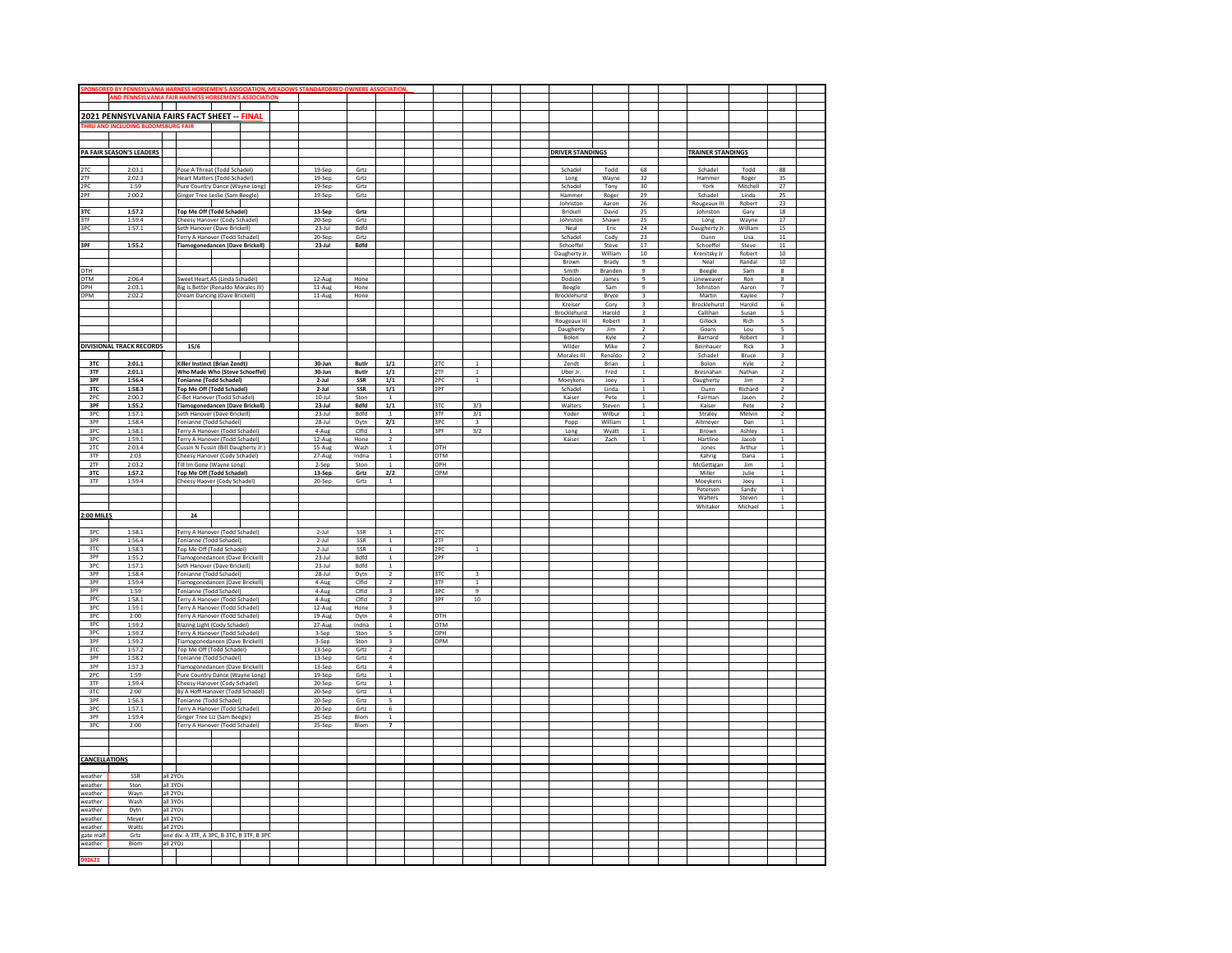| SPONSORED BY PENNSYLVANIA HARNESS HORSEMEN'S ASSOCIATION, MEADOWS STANDARDBRE |                                 |          |                                                                        |                  |                  |                |                                           |  |            |                         |  |  |                         |                  |                                  |                          |                   |                                |  |
|-------------------------------------------------------------------------------|---------------------------------|----------|------------------------------------------------------------------------|------------------|------------------|----------------|-------------------------------------------|--|------------|-------------------------|--|--|-------------------------|------------------|----------------------------------|--------------------------|-------------------|--------------------------------|--|
|                                                                               |                                 |          | <b>IND PENNSYLVANIA FAIR HARNESS HORSEMEN'S AS</b>                     | <b>SOCIATION</b> |                  |                |                                           |  |            |                         |  |  |                         |                  |                                  |                          |                   |                                |  |
|                                                                               |                                 |          |                                                                        |                  |                  |                |                                           |  |            |                         |  |  |                         |                  |                                  |                          |                   |                                |  |
|                                                                               |                                 |          | 2021 PENNSYLVANIA FAIRS FACT SHEET -- FINAL                            |                  |                  |                |                                           |  |            |                         |  |  |                         |                  |                                  |                          |                   |                                |  |
| <b>THRU A</b>                                                                 | <b>ICLUDING BLOOMSBURG F.</b>   |          |                                                                        |                  |                  |                |                                           |  |            |                         |  |  |                         |                  |                                  |                          |                   |                                |  |
|                                                                               |                                 |          |                                                                        |                  |                  |                |                                           |  |            |                         |  |  |                         |                  |                                  |                          |                   |                                |  |
|                                                                               |                                 |          |                                                                        |                  |                  |                |                                           |  |            |                         |  |  |                         |                  |                                  |                          |                   |                                |  |
|                                                                               | PA FAIR SEASON'S LEADERS        |          |                                                                        |                  |                  |                |                                           |  |            |                         |  |  | <b>DRIVER STANDINGS</b> |                  |                                  | <b>TRAINER STANDINGS</b> |                   |                                |  |
|                                                                               |                                 |          |                                                                        |                  |                  |                |                                           |  |            |                         |  |  |                         |                  |                                  |                          |                   |                                |  |
| 2TC                                                                           | 2:03.1                          |          | Pose A Threat (Todd Schadel)                                           |                  | 19-Sep           | Grtz           |                                           |  |            |                         |  |  | Schadel                 | Todd             | 68                               | Schadel                  | Todd              | 88                             |  |
| 2TF                                                                           | 2:02.3                          |          | Heart Matters (Todd Schadel)                                           |                  | 19-Sep           | Grtz           |                                           |  |            |                         |  |  | Long                    | Wayne            | 32<br>30                         | Hammer                   | Roger             | 35<br>27                       |  |
| 2PC<br>2PF                                                                    | 1:59<br>2:00.2                  |          | Pure Country Dance (Wayne Long)<br>Ginger Tree Leslie (Sam Beegle)     |                  | 19-Sep<br>19-Sep | Grtz<br>Grtz   |                                           |  |            |                         |  |  | Schadel<br>Hammer       | Tony<br>Roger    | 29                               | York<br>Schadel          | Mitchell<br>Linda | 25                             |  |
|                                                                               |                                 |          |                                                                        |                  |                  |                |                                           |  |            |                         |  |  | Johnston                | Aaron            | 26                               | Rougeaux III             | Robert            | 23                             |  |
| 3TC                                                                           | 1:57.2                          |          | Top Me Off (Todd Schadel)                                              |                  | 13-Sep           | Grtz           |                                           |  |            |                         |  |  | Brickell                | David            | 25                               | Johnston                 | Gary              | 18                             |  |
| 3TF                                                                           | 1:59.4                          |          | Cheesy Hanover (Cody Schadel)                                          |                  | 20-Sep           | Grtz           |                                           |  |            |                         |  |  | Johnston                | Shawn            | 25                               | Long                     | Wayne             | 17                             |  |
| 3PC                                                                           | 1:57.1                          |          | Seth Hanover (Dave Brickell)                                           |                  | $23$ -Jul        | <b>Bdfd</b>    |                                           |  |            |                         |  |  | Neal                    | Eric             | 24                               | Daugherty Jr             | William           | 15                             |  |
|                                                                               |                                 |          | Terry A Hanover (Todd Schadel)                                         |                  | 20-Sep           | Grtz           |                                           |  |            |                         |  |  | Schadel                 | Cody             | 23                               | Dunn                     | Lisa              | $11\,$                         |  |
| 3PF                                                                           | 1:55.2                          |          | <b>Tiamogonedancen (Dave Brickell)</b>                                 |                  | 23-Jul           | <b>Bdfd</b>    |                                           |  |            |                         |  |  | Schoeffel               | Steve            | 17                               | Schoeffel                | Steve             | 11                             |  |
|                                                                               |                                 |          |                                                                        |                  |                  |                |                                           |  |            |                         |  |  | Daugherty Jr.           | William          | $10\,$<br>$\overline{9}$         | Krenitsky Jr             | Robert            | 10                             |  |
| OTH                                                                           |                                 |          |                                                                        |                  |                  |                |                                           |  |            |                         |  |  | Brown<br>Smith          | Brady<br>Branden | $\overline{9}$                   | Neal<br>Beegle           | Randal<br>Sam     | $10\,$<br>8                    |  |
| OTM                                                                           | 2:06.4                          |          | Sweet Heart AS (Linda Schadel)                                         |                  | 12-Aug           | Hone           |                                           |  |            |                         |  |  | Dodson                  | James            | $\overline{9}$                   | Lineweaver               | Ron               | 8                              |  |
| OPH                                                                           | 2:03.1                          |          | Big Is Better (Renaldo Morales III)                                    |                  | 11-Aug           | Hone           |                                           |  |            |                         |  |  | Beegle                  | Sam              | $\overline{9}$                   | Johnston                 | Aaron             | $\overline{7}$                 |  |
| OPM                                                                           | 2:02.2                          |          | Dream Dancing (Dave Brickell)                                          |                  | 11-Aug           | Hone           |                                           |  |            |                         |  |  | Brocklehurst            | Bryce            | $\overline{\mathbf{3}}$          | Martin                   | Kaylee            | 7                              |  |
|                                                                               |                                 |          |                                                                        |                  |                  |                |                                           |  |            |                         |  |  | Kreiser                 | Cory             | $\overline{\mathbf{3}}$          | Brocklehurst             | Harold            | $6\overline{6}$                |  |
|                                                                               |                                 |          |                                                                        |                  |                  |                |                                           |  |            |                         |  |  | Brocklehurst            | Harold           | $\mathsf 3$                      | Callihan                 | Susan             | 5                              |  |
|                                                                               |                                 |          |                                                                        |                  |                  |                |                                           |  |            |                         |  |  | Rougeaux III            | Robert           | $\overline{\mathbf{3}}$          | Gillock                  | Rich              | $\overline{\phantom{a}}$       |  |
|                                                                               |                                 |          |                                                                        |                  |                  |                |                                           |  |            |                         |  |  | Daugherty               | <b>Jim</b>       | 2                                | Goans                    | Lou               | 5                              |  |
|                                                                               |                                 |          |                                                                        |                  |                  |                |                                           |  |            |                         |  |  | Bolon                   | Kyle             | $\sqrt{2}$                       | Barnard                  | Robert            | $\overline{\mathbf{3}}$        |  |
|                                                                               | <b>DIVISIONAL TRACK RECORDS</b> |          | 15/6                                                                   |                  |                  |                |                                           |  |            |                         |  |  | Wilder                  | Mike             | $\overline{2}$<br>$\overline{2}$ | Beinhauer                | Rick              | 3<br>$\overline{\mathbf{3}}$   |  |
| 3TC                                                                           | 2:01.1                          |          | Killer Instinct (Brian Zendt)                                          |                  | $30-1$ un        | <b>Butle</b>   | 1/1                                       |  | 2TC        | $\overline{1}$          |  |  | Morales III<br>Zendt    | Renaldo<br>Brian | $\mathbf{1}$                     | Schadel<br>Bolon         | Bruce<br>Kyle     | 2                              |  |
| 3TF                                                                           | 2:01.1                          |          | Who Made Who (Steve Schoeffel)                                         |                  | 30-Jun           | Butlr          | $1/1$                                     |  | 2TF        | $\mathbf{1}$            |  |  | Uber Jr.                | Fred             | $1\,$                            | Bresnahan                | Nathan            | $\overline{2}$                 |  |
| 3PF                                                                           | 1:56.4                          |          | <b>Tonianne (Todd Schadel)</b>                                         |                  | 2-Jul            | SSR            | 1/1                                       |  | 2PC        | $\overline{1}$          |  |  | Moeykens                | Joey             | $\mathbf{1}$                     | Daugherty                | Jim               | $\overline{\mathbf{2}}$        |  |
| 3TC                                                                           | 1:58.3                          |          | Top Me Off (Todd Schadel)                                              |                  | 2-Jul            | SSR            | 1/1                                       |  | 2PF        |                         |  |  | Schadel                 | Linda            | $\,1\,$                          | Dunn                     | Richard           | $\overline{2}$                 |  |
| 2PC                                                                           | 2:00.2                          |          | C-Bet Hanover (Todd Schadel)                                           |                  | $10-1$ ul        | Ston           | $\overline{1}$                            |  |            |                         |  |  | Kaiser                  | Pete             | $\mathbf{1}$                     | Fairman                  | Jason             | $\overline{2}$                 |  |
| 3PF                                                                           | 1:55.2                          |          | <b>Tiamogonedancen (Dave Brickell)</b>                                 |                  | 23-Jul           | Bdfd           | 1/1                                       |  | 3TC        | 3/3                     |  |  | Walters                 | Steven           | $\mathbf{1}$                     | Kaiser                   | Pete              | $\overline{2}$                 |  |
| 3PC                                                                           | 1:57.1                          |          | Seth Hanover (Dave Brickell)                                           |                  | $23 -$ Jul       | <b>Bdfd</b>    | $\mathbf{1}$                              |  | 3TF        | 3/1                     |  |  | Yoder                   | Wilbur           | $\overline{1}$                   | Straley                  | Melvin            | $\overline{2}$                 |  |
| 3PF                                                                           | 1:58.4                          |          | Tonianne (Todd Schadel)                                                |                  | 28-Jul           | Dytn           | 2/1                                       |  | 3PC        | $\overline{\mathbf{3}}$ |  |  | Popp                    | William          | $\mathbf 1$                      | Altmeyer                 | Dan               | $\,1$                          |  |
| 3PC<br>3PC                                                                    | 1:58.1                          |          | Terry A Hanover (Todd Schadel)                                         |                  | 4-Aug            | Clfld          | 1<br>$\overline{z}$                       |  | 3PF        | 3/2                     |  |  | Long                    | Wyatt            | $\overline{1}$<br>$\overline{1}$ | Brown                    | Ashley            | $\overline{1}$<br>$\mathbf{1}$ |  |
| 2TC                                                                           | 1:59.1<br>2:03.4                |          | Terry A Hanover (Todd Schadel)<br>Cussin N Fussin (Bill Daugherty Jr.) |                  | 12-Aug<br>15-Aug | Hone<br>Wash   | $\overline{1}$                            |  | OTH        |                         |  |  | Kaiser                  | Zach             |                                  | Hartline<br>Jones        | Jacob<br>Arthur   | $\overline{1}$                 |  |
| 3TF                                                                           | 2:03                            |          | Cheesy Hanover (Cody Schadel)                                          |                  | 27-Aug           | Indna          | $\mathbf 1$                               |  | OTM        |                         |  |  |                         |                  |                                  | Kahrig                   | Dana              | $\,$ 1 $\,$                    |  |
| 2TF                                                                           | 2:03.2                          |          | Till Im Gone (Wayne Long)                                              |                  | 2-Sep            | Ston           | $\overline{1}$                            |  | OPH        |                         |  |  |                         |                  |                                  | McGettigan               | Jim               | $\overline{1}$                 |  |
| 3TC                                                                           | 1:57.2                          |          | <b>Top Me Off (Todd Schadel)</b>                                       |                  | 13-Sep           | Grtz           | 2/2                                       |  | OPM        |                         |  |  |                         |                  |                                  | Miller                   | Julie             | $\mathbf{1}$                   |  |
| 3TF                                                                           | 1:59.4                          |          | Cheesy Haover (Cody Schadel)                                           |                  | 20-Sep           | Grtz           | $\overline{1}$                            |  |            |                         |  |  |                         |                  |                                  | Moeykens                 | Joey              | $\mathbf{1}$                   |  |
|                                                                               |                                 |          |                                                                        |                  |                  |                |                                           |  |            |                         |  |  |                         |                  |                                  | Petersen                 | Sandy             | $1\,$                          |  |
|                                                                               |                                 |          |                                                                        |                  |                  |                |                                           |  |            |                         |  |  |                         |                  |                                  | Walters                  | Steven            | $\,$ 1 $\,$                    |  |
|                                                                               |                                 |          |                                                                        |                  |                  |                |                                           |  |            |                         |  |  |                         |                  |                                  | Whitaker                 | Michael           | $\mathbf{1}$                   |  |
| 2:00 MILE                                                                     |                                 |          | 24                                                                     |                  |                  |                |                                           |  |            |                         |  |  |                         |                  |                                  |                          |                   |                                |  |
| 3PC                                                                           | 1:58.1                          |          | Terry A Hanover (Todd Schadel)                                         |                  | $2 -$ Jul        | SSR            | $\overline{1}$                            |  | 2TC        |                         |  |  |                         |                  |                                  |                          |                   |                                |  |
| 3PF                                                                           | 1:56.4                          |          | Tonianne (Todd Schadel)                                                |                  | 2-Jul            | SSR            | $1\,$                                     |  | 2TF        |                         |  |  |                         |                  |                                  |                          |                   |                                |  |
| 3TC                                                                           | 1:58.3                          |          | Top Me Off (Todd Schadel)                                              |                  | $2$ -lul         | SSR            | $\mathbf{1}$                              |  | 2PC        | $\overline{1}$          |  |  |                         |                  |                                  |                          |                   |                                |  |
| 3PF                                                                           | 1:55.2                          |          | Tiamogonedancen (Dave Brickell)                                        |                  | 23-Jul           | Bdfd           | $\,$ 1 $\,$                               |  | 2PF        |                         |  |  |                         |                  |                                  |                          |                   |                                |  |
| 3PC                                                                           | 1:57.1                          |          | Seth Hanover (Dave Brickell)                                           |                  | $23$ -Jul        | <b>Bdfd</b>    | $\mathbf{1}$                              |  |            |                         |  |  |                         |                  |                                  |                          |                   |                                |  |
| 3PF                                                                           | 1:58.4                          |          | Tonianne (Todd Schadel)                                                |                  | $28 -$ Jul       | Dytn           | $\sqrt{2}$                                |  | 3TC        | $\overline{\mathbf{3}}$ |  |  |                         |                  |                                  |                          |                   |                                |  |
| 3PF                                                                           | 1:59.4                          |          | Tiamogonedancen (Dave Brickell)                                        |                  | 4-Aug            | Clfld          | $\overline{2}$                            |  | 3TF        | $\mathbf{1}$            |  |  |                         |                  |                                  |                          |                   |                                |  |
| 3PF                                                                           | 1:59                            |          | Tonianne (Todd Schadel)                                                |                  | 4-Aug            | Clfld<br>Clfld | $\overline{\mathbf{3}}$                   |  | 3PC<br>3PF | $\overline{9}$          |  |  |                         |                  |                                  |                          |                   |                                |  |
| 3PC<br>3PC                                                                    | 1:58.1<br>1:59.1                |          | Terry A Hanover (Todd Schadel)<br>Terry A Hanover (Todd Schadel)       |                  | 4-Aug<br>12-Aug  | Hone           | $\overline{2}$<br>$\overline{\mathbf{3}}$ |  |            | $10\,$                  |  |  |                         |                  |                                  |                          |                   |                                |  |
| 3PC                                                                           | 2:00                            |          | Terry A Hanover (Todd Schadel)                                         |                  | 19-Aug           | Dytn           | $\overline{4}$                            |  | OTH        |                         |  |  |                         |                  |                                  |                          |                   |                                |  |
| 3PC                                                                           | 1:59.2                          |          | Blazing Light (Cody Schadel)                                           |                  | 27-Aug           | Indna          | $\mathbf{1}$                              |  | <b>OTM</b> |                         |  |  |                         |                  |                                  |                          |                   |                                |  |
| 3PC                                                                           | 1:59.2                          |          | Terry A Hanover (Todd Schadel)                                         |                  | 3-Sep            | Ston           | $\overline{\phantom{a}}$                  |  | OPH        |                         |  |  |                         |                  |                                  |                          |                   |                                |  |
| 3PF                                                                           | 1:59.2                          |          | Tiamogonedancen (Dave Brickell)                                        |                  | 3-Sep            | Ston           | $\overline{\mathbf{3}}$                   |  | OPM        |                         |  |  |                         |                  |                                  |                          |                   |                                |  |
| 3TC                                                                           | 1:57.2                          |          | Top Me Off (Todd Schadel)                                              |                  | 13-Sep           | Grtz           | $\,2$                                     |  |            |                         |  |  |                         |                  |                                  |                          |                   |                                |  |
| 3PF                                                                           | 1:58.2                          |          | Tonianne (Todd Schadel)                                                |                  | 13-Sep           | Grtz           | $\overline{4}$                            |  |            |                         |  |  |                         |                  |                                  |                          |                   |                                |  |
| 3PF                                                                           | 1:57.3                          |          | Tiamogonedancen (Dave Brickell)                                        |                  | 13-Sep           | Grtz           | $\overline{a}$<br>$\mathbf{1}$            |  |            |                         |  |  |                         |                  |                                  |                          |                   |                                |  |
| 2PC<br>3TF                                                                    | 1:59<br>1:59.4                  |          | Pure Country Dance (Wayne Long)<br>Cheesy Hanover (Cody Schadel)       |                  | 19-Sep<br>20-Sep | Grtz<br>Grtz   | $\mathbf 1$                               |  |            |                         |  |  |                         |                  |                                  |                          |                   |                                |  |
| 3TC                                                                           | 2:00                            |          | By A Hoff Hanover (Todd Schadel)                                       |                  | 20-Sep           | Grtz           | $\mathbf{1}$                              |  |            |                         |  |  |                         |                  |                                  |                          |                   |                                |  |
| 3PF                                                                           | 1:56.3                          |          | Tonianne (Todd Schadel)                                                |                  | 20-Sep           | Grtz           | $\overline{\mathbf{s}}$                   |  |            |                         |  |  |                         |                  |                                  |                          |                   |                                |  |
| 3PC                                                                           | 1:57.1                          |          | Terry A Hanover (Todd Schadel)                                         |                  | 20-Sep           | Grtz           | 6                                         |  |            |                         |  |  |                         |                  |                                  |                          |                   |                                |  |
| 3PF                                                                           | 1:59.4                          |          | Ginger Tree Liz (Sam Beegle)                                           |                  | 25-Sep           | Blom           | $\,1\,$                                   |  |            |                         |  |  |                         |                  |                                  |                          |                   |                                |  |
| 3PC                                                                           | 2:00                            |          | Terry A Hanover (Todd Schadel)                                         |                  | 25-Sep           | Blom           |                                           |  |            |                         |  |  |                         |                  |                                  |                          |                   |                                |  |
|                                                                               |                                 |          |                                                                        |                  |                  |                |                                           |  |            |                         |  |  |                         |                  |                                  |                          |                   |                                |  |
|                                                                               |                                 |          |                                                                        |                  |                  |                |                                           |  |            |                         |  |  |                         |                  |                                  |                          |                   |                                |  |
| <b>CANCELLATIONS</b>                                                          |                                 |          |                                                                        |                  |                  |                |                                           |  |            |                         |  |  |                         |                  |                                  |                          |                   |                                |  |
|                                                                               |                                 |          |                                                                        |                  |                  |                |                                           |  |            |                         |  |  |                         |                  |                                  |                          |                   |                                |  |
| weather                                                                       | SSR                             | all 2YOs |                                                                        |                  |                  |                |                                           |  |            |                         |  |  |                         |                  |                                  |                          |                   |                                |  |
| weather                                                                       | Ston                            | all 3YOs |                                                                        |                  |                  |                |                                           |  |            |                         |  |  |                         |                  |                                  |                          |                   |                                |  |
| weather                                                                       | Wayn                            | all 2YOs |                                                                        |                  |                  |                |                                           |  |            |                         |  |  |                         |                  |                                  |                          |                   |                                |  |
| weather                                                                       | Wash                            | all 3YOs |                                                                        |                  |                  |                |                                           |  |            |                         |  |  |                         |                  |                                  |                          |                   |                                |  |
| veather                                                                       | Dytn                            | all 2YOs |                                                                        |                  |                  |                |                                           |  |            |                         |  |  |                         |                  |                                  |                          |                   |                                |  |
| weather                                                                       | Meyer                           | all 2YOs |                                                                        |                  |                  |                |                                           |  |            |                         |  |  |                         |                  |                                  |                          |                   |                                |  |
| weather                                                                       | Watts                           | all 2YOs |                                                                        |                  |                  |                |                                           |  |            |                         |  |  |                         |                  |                                  |                          |                   |                                |  |
| gate malf.                                                                    | Grtz                            | all 2YOs | one div. A 3TF, A 3PC, B 3TC, B 3TF, B 3PC                             |                  |                  |                |                                           |  |            |                         |  |  |                         |                  |                                  |                          |                   |                                |  |
| weather                                                                       | Blom                            |          |                                                                        |                  |                  |                |                                           |  |            |                         |  |  |                         |                  |                                  |                          |                   |                                |  |
| 092621                                                                        |                                 |          |                                                                        |                  |                  |                |                                           |  |            |                         |  |  |                         |                  |                                  |                          |                   |                                |  |